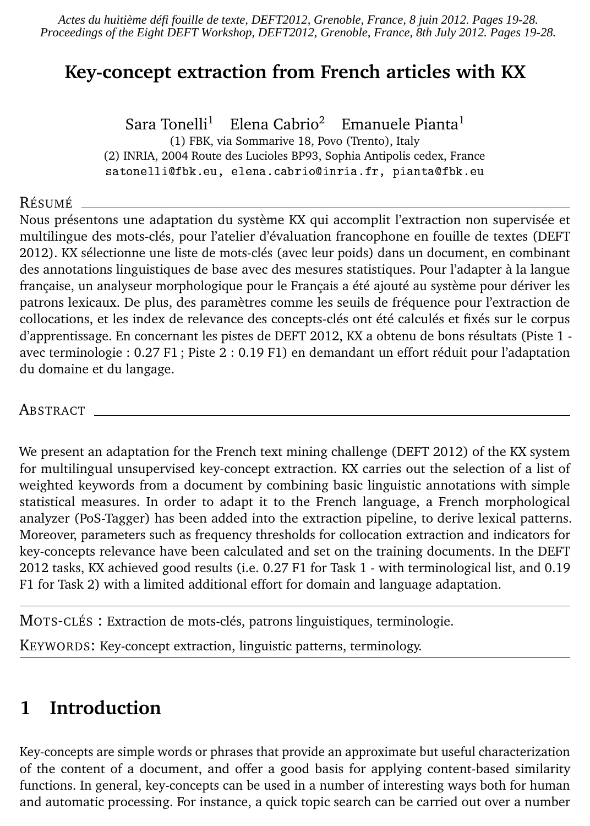*Actes du huitième défi fouille de texte, DEFT2012, Grenoble, France, 8 juin 2012. Pages 19-28. Proceedings of the Eight DEFT Workshop, DEFT2012, Grenoble, France, 8th July 2012. Pages 19-28.*

## **Key-concept extraction from French articles with KX**

Sara Tonelli<sup>1</sup> Elena Cabrio<sup>2</sup> Emanuele Pianta<sup>1</sup> (1) FBK, via Sommarive 18, Povo (Trento), Italy (2) INRIA, 2004 Route des Lucioles BP93, Sophia Antipolis cedex, France satonelli@fbk.eu, elena.cabrio@inria.fr, pianta@fbk.eu

#### RÉSUMÉ

Nous présentons une adaptation du système KX qui accomplit l'extraction non supervisée et multilingue des mots-clés, pour l'atelier d'évaluation francophone en fouille de textes (DEFT 2012). KX sélectionne une liste de mots-clés (avec leur poids) dans un document, en combinant des annotations linguistiques de base avec des mesures statistiques. Pour l'adapter à la langue française, un analyseur morphologique pour le Français a été ajouté au système pour dériver les patrons lexicaux. De plus, des paramètres comme les seuils de fréquence pour l'extraction de collocations, et les index de relevance des concepts-clés ont été calculés et fixés sur le corpus d'apprentissage. En concernant les pistes de DEFT 2012, KX a obtenu de bons résultats (Piste 1 avec terminologie : 0.27 F1 ; Piste 2 : 0.19 F1) en demandant un effort réduit pour l'adaptation du domaine et du langage.

ABSTRACT

We present an adaptation for the French text mining challenge (DEFT 2012) of the KX system for multilingual unsupervised key-concept extraction. KX carries out the selection of a list of weighted keywords from a document by combining basic linguistic annotations with simple statistical measures. In order to adapt it to the French language, a French morphological analyzer (PoS-Tagger) has been added into the extraction pipeline, to derive lexical patterns. Moreover, parameters such as frequency thresholds for collocation extraction and indicators for key-concepts relevance have been calculated and set on the training documents. In the DEFT 2012 tasks, KX achieved good results (i.e. 0.27 F1 for Task 1 - with terminological list, and 0.19 F1 for Task 2) with a limited additional effort for domain and language adaptation.

MOTS-CLÉS : Extraction de mots-clés, patrons linguistiques, terminologie.

KEYWORDS: Key-concept extraction, linguistic patterns, terminology.

## **1 Introduction**

Key-concepts are simple words or phrases that provide an approximate but useful characterization of the content of a document, and offer a good basis for applying content-based similarity functions. In general, key-concepts can be used in a number of interesting ways both for human and automatic processing. For instance, a quick topic search can be carried out over a number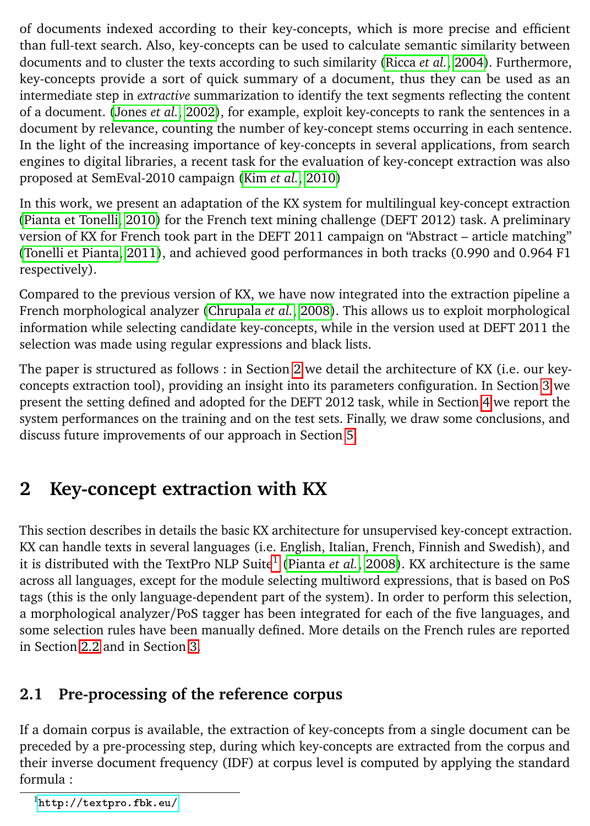of documents indexed according to their key-concepts, which is more precise and efficient than full-text search. Also, key-concepts can be used to calculate semantic similarity between documents and to cluster the texts according to such similarity [\(Ricca](#page-9-0) *et al.*, [2004\)](#page-9-0). Furthermore, key-concepts provide a sort of quick summary of a document, thus they can be used as an intermediate step in *extractive* summarization to identify the text segments reflecting the content of a document. [\(Jones](#page-9-1) *et al.*, [2002\)](#page-9-1), for example, exploit key-concepts to rank the sentences in a document by relevance, counting the number of key-concept stems occurring in each sentence. In the light of the increasing importance of key-concepts in several applications, from search engines to digital libraries, a recent task for the evaluation of key-concept extraction was also proposed at SemEval-2010 campaign (Kim *[et al.](#page-9-2)*, [2010\)](#page-9-2)

In this work, we present an adaptation of the KX system for multilingual key-concept extraction [\(Pianta et Tonelli, 2010\)](#page-9-3) for the French text mining challenge (DEFT 2012) task. A preliminary version of KX for French took part in the DEFT 2011 campaign on "Abstract – article matching" [\(Tonelli et Pianta, 2011\)](#page-9-4), and achieved good performances in both tracks (0.990 and 0.964 F1 respectively).

Compared to the previous version of KX, we have now integrated into the extraction pipeline a French morphological analyzer [\(Chrupala](#page-9-5) *et al.*, [2008\)](#page-9-5). This allows us to exploit morphological information while selecting candidate key-concepts, while in the version used at DEFT 2011 the selection was made using regular expressions and black lists.

The paper is structured as follows : in Section [2](#page-1-0) we detail the architecture of KX (i.e. our keyconcepts extraction tool), providing an insight into its parameters configuration. In Section [3](#page-6-0) we present the setting defined and adopted for the DEFT 2012 task, while in Section [4](#page-6-1) we report the system performances on the training and on the test sets. Finally, we draw some conclusions, and discuss future improvements of our approach in Section [5.](#page-9-6)

# <span id="page-1-0"></span>**2 Key-concept extraction with KX**

This section describes in details the basic KX architecture for unsupervised key-concept extraction. KX can handle texts in several languages (i.e. English, Italian, French, Finnish and Swedish), and it is distributed with the TextPro NLP Suite<sup>[1](#page-1-1)</sup> [\(Pianta](#page-9-7) *et al.*, [2008\)](#page-9-7). KX architecture is the same across all languages, except for the module selecting multiword expressions, that is based on PoS tags (this is the only language-dependent part of the system). In order to perform this selection, a morphological analyzer/PoS tagger has been integrated for each of the five languages, and some selection rules have been manually defined. More details on the French rules are reported in Section [2.2](#page-2-0) and in Section [3.](#page-6-0)

### <span id="page-1-2"></span>**2.1 Pre-processing of the reference corpus**

If a domain corpus is available, the extraction of key-concepts from a single document can be preceded by a pre-processing step, during which key-concepts are extracted from the corpus and their inverse document frequency (IDF) at corpus level is computed by applying the standard formula :

<span id="page-1-1"></span><sup>1</sup><http://textpro.fbk.eu/>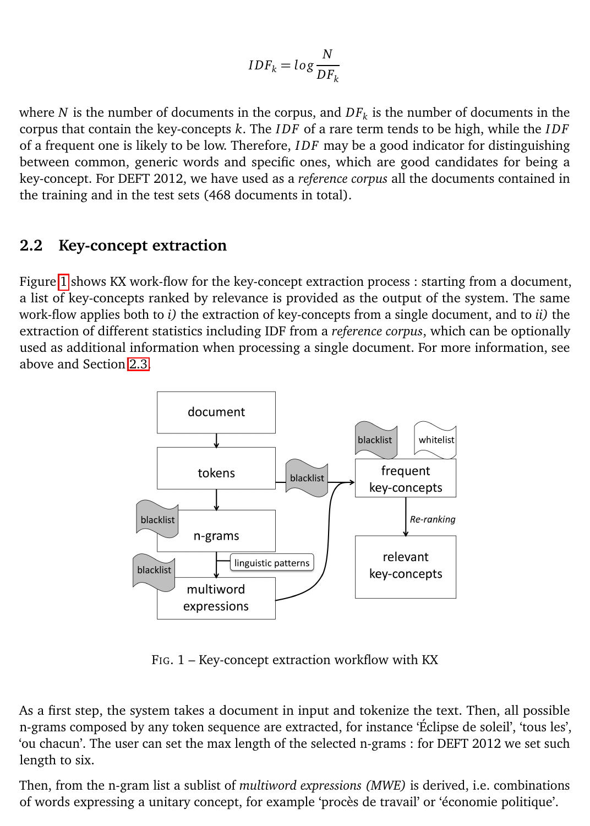$$
IDF_k = log \frac{N}{DF_k}
$$

where *N* is the number of documents in the corpus, and  $DF_k$  is the number of documents in the corpus that contain the key-concepts *k*. The *I DF* of a rare term tends to be high, while the *I DF* of a frequent one is likely to be low. Therefore, *I DF* may be a good indicator for distinguishing between common, generic words and specific ones, which are good candidates for being a key-concept. For DEFT 2012, we have used as a *reference corpus* all the documents contained in the training and in the test sets (468 documents in total).

#### <span id="page-2-0"></span>**2.2 Key-concept extraction**

Figure [1](#page-2-1) shows KX work-flow for the key-concept extraction process : starting from a document, a list of key-concepts ranked by relevance is provided as the output of the system. The same work-flow applies both to *i)* the extraction of key-concepts from a single document, and to *ii)* the extraction of different statistics including IDF from a *reference corpus*, which can be optionally used as additional information when processing a single document. For more information, see above and Section [2.3.](#page-4-0)



<span id="page-2-1"></span>FIG. 1 – Key-concept extraction workflow with KX

As a first step, the system takes a document in input and tokenize the text. Then, all possible n-grams composed by any token sequence are extracted, for instance 'Éclipse de soleil', 'tous les', 'ou chacun'. The user can set the max length of the selected n-grams : for DEFT 2012 we set such length to six.

Then, from the n-gram list a sublist of *multiword expressions (MWE)* is derived, i.e. combinations of words expressing a unitary concept, for example 'procès de travail' or 'économie politique'.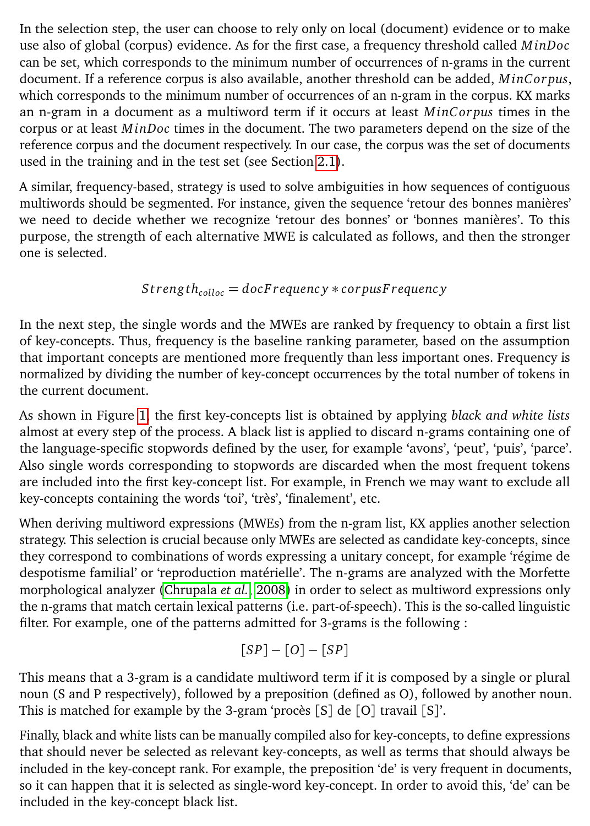In the selection step, the user can choose to rely only on local (document) evidence or to make use also of global (corpus) evidence. As for the first case, a frequency threshold called *MinDoc* can be set, which corresponds to the minimum number of occurrences of n-grams in the current document. If a reference corpus is also available, another threshold can be added, *MinC or pus*, which corresponds to the minimum number of occurrences of an n-gram in the corpus. KX marks an n-gram in a document as a multiword term if it occurs at least *MinC or pus* times in the corpus or at least *MinDoc* times in the document. The two parameters depend on the size of the reference corpus and the document respectively. In our case, the corpus was the set of documents used in the training and in the test set (see Section [2.1\)](#page-1-2).

A similar, frequency-based, strategy is used to solve ambiguities in how sequences of contiguous multiwords should be segmented. For instance, given the sequence 'retour des bonnes manières' we need to decide whether we recognize 'retour des bonnes' or 'bonnes manières'. To this purpose, the strength of each alternative MWE is calculated as follows, and then the stronger one is selected.

$$
Strong th_{\it colloc} = docFrequency * corpus Frequency
$$

In the next step, the single words and the MWEs are ranked by frequency to obtain a first list of key-concepts. Thus, frequency is the baseline ranking parameter, based on the assumption that important concepts are mentioned more frequently than less important ones. Frequency is normalized by dividing the number of key-concept occurrences by the total number of tokens in the current document.

As shown in Figure [1,](#page-2-1) the first key-concepts list is obtained by applying *black and white lists* almost at every step of the process. A black list is applied to discard n-grams containing one of the language-specific stopwords defined by the user, for example 'avons', 'peut', 'puis', 'parce'. Also single words corresponding to stopwords are discarded when the most frequent tokens are included into the first key-concept list. For example, in French we may want to exclude all key-concepts containing the words 'toi', 'très', 'finalement', etc.

When deriving multiword expressions (MWEs) from the n-gram list, KX applies another selection strategy. This selection is crucial because only MWEs are selected as candidate key-concepts, since they correspond to combinations of words expressing a unitary concept, for example 'régime de despotisme familial' or 'reproduction matérielle'. The n-grams are analyzed with the Morfette morphological analyzer [\(Chrupala](#page-9-5) *et al.*, [2008\)](#page-9-5) in order to select as multiword expressions only the n-grams that match certain lexical patterns (i.e. part-of-speech). This is the so-called linguistic filter. For example, one of the patterns admitted for 3-grams is the following :

$$
[SP] - [O] - [SP]
$$

This means that a 3-gram is a candidate multiword term if it is composed by a single or plural noun (S and P respectively), followed by a preposition (defined as O), followed by another noun. This is matched for example by the 3-gram 'procès [S] de [O] travail [S]'.

Finally, black and white lists can be manually compiled also for key-concepts, to define expressions that should never be selected as relevant key-concepts, as well as terms that should always be included in the key-concept rank. For example, the preposition 'de' is very frequent in documents, so it can happen that it is selected as single-word key-concept. In order to avoid this, 'de' can be included in the key-concept black list.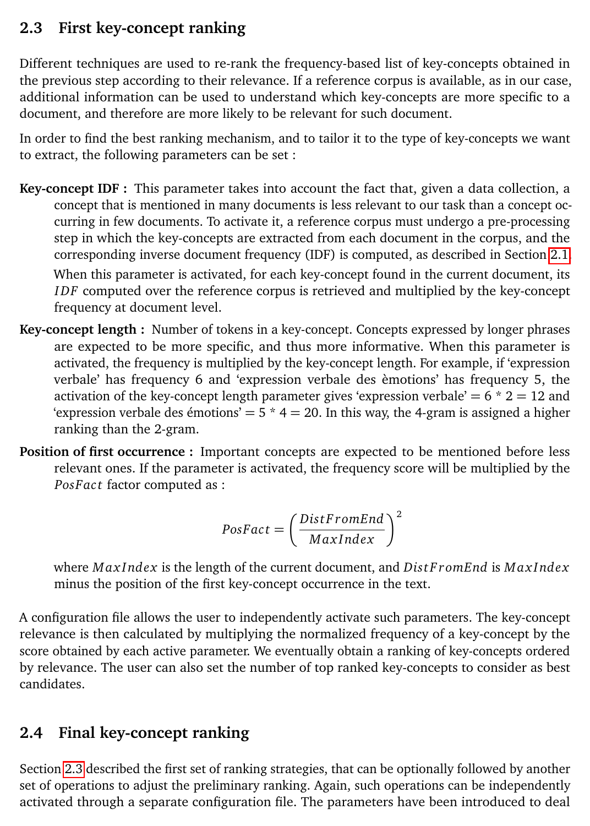## <span id="page-4-0"></span>**2.3 First key-concept ranking**

Different techniques are used to re-rank the frequency-based list of key-concepts obtained in the previous step according to their relevance. If a reference corpus is available, as in our case, additional information can be used to understand which key-concepts are more specific to a document, and therefore are more likely to be relevant for such document.

In order to find the best ranking mechanism, and to tailor it to the type of key-concepts we want to extract, the following parameters can be set :

- **Key-concept IDF :** This parameter takes into account the fact that, given a data collection, a concept that is mentioned in many documents is less relevant to our task than a concept occurring in few documents. To activate it, a reference corpus must undergo a pre-processing step in which the key-concepts are extracted from each document in the corpus, and the corresponding inverse document frequency (IDF) is computed, as described in Section [2.1.](#page-1-2) When this parameter is activated, for each key-concept found in the current document, its *I DF* computed over the reference corpus is retrieved and multiplied by the key-concept frequency at document level.
- **Key-concept length :** Number of tokens in a key-concept. Concepts expressed by longer phrases are expected to be more specific, and thus more informative. When this parameter is activated, the frequency is multiplied by the key-concept length. For example, if 'expression verbale' has frequency 6 and 'expression verbale des èmotions' has frequency 5, the activation of the key-concept length parameter gives 'expression verbale'  $= 6 * 2 = 12$  and 'expression verbale des émotions' =  $5 * 4 = 20$ . In this way, the 4-gram is assigned a higher ranking than the 2-gram.
- **Position of first occurrence :** Important concepts are expected to be mentioned before less relevant ones. If the parameter is activated, the frequency score will be multiplied by the *PosFac t* factor computed as :

$$
PosFact = \left(\frac{DistFromEnd}{MaxIndex}\right)^2
$$

where *M ax I ndex* is the length of the current document, and *Dis t F r omEnd* is *M ax I ndex* minus the position of the first key-concept occurrence in the text.

A configuration file allows the user to independently activate such parameters. The key-concept relevance is then calculated by multiplying the normalized frequency of a key-concept by the score obtained by each active parameter. We eventually obtain a ranking of key-concepts ordered by relevance. The user can also set the number of top ranked key-concepts to consider as best candidates.

#### **2.4 Final key-concept ranking**

Section [2.3](#page-4-0) described the first set of ranking strategies, that can be optionally followed by another set of operations to adjust the preliminary ranking. Again, such operations can be independently activated through a separate configuration file. The parameters have been introduced to deal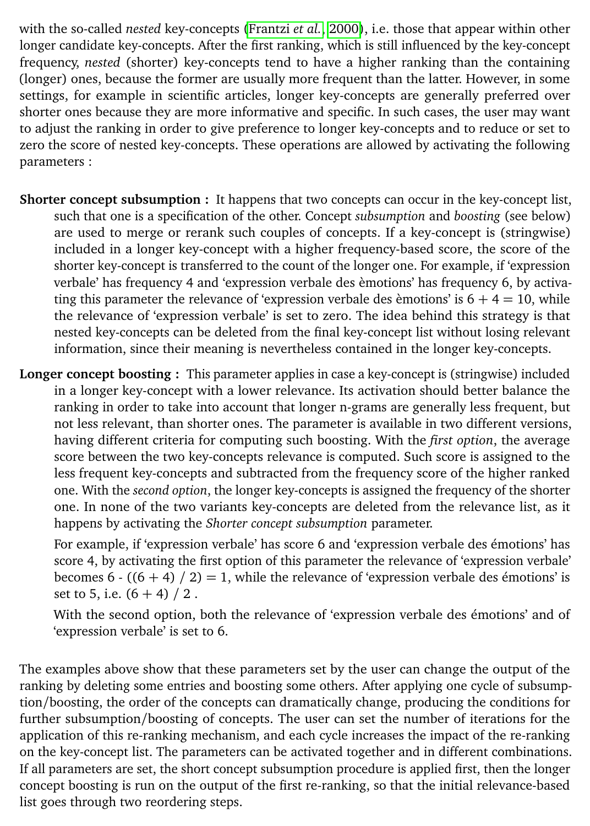with the so-called *nested* key-concepts [\(Frantzi](#page-9-8) *et al.*, [2000\)](#page-9-8), i.e. those that appear within other longer candidate key-concepts. After the first ranking, which is still influenced by the key-concept frequency, *nested* (shorter) key-concepts tend to have a higher ranking than the containing (longer) ones, because the former are usually more frequent than the latter. However, in some settings, for example in scientific articles, longer key-concepts are generally preferred over shorter ones because they are more informative and specific. In such cases, the user may want to adjust the ranking in order to give preference to longer key-concepts and to reduce or set to zero the score of nested key-concepts. These operations are allowed by activating the following parameters :

- **Shorter concept subsumption :** It happens that two concepts can occur in the key-concept list, such that one is a specification of the other. Concept *subsumption* and *boosting* (see below) are used to merge or rerank such couples of concepts. If a key-concept is (stringwise) included in a longer key-concept with a higher frequency-based score, the score of the shorter key-concept is transferred to the count of the longer one. For example, if 'expression verbale' has frequency 4 and 'expression verbale des èmotions' has frequency 6, by activating this parameter the relevance of 'expression verbale des èmotions' is  $6 + 4 = 10$ , while the relevance of 'expression verbale' is set to zero. The idea behind this strategy is that nested key-concepts can be deleted from the final key-concept list without losing relevant information, since their meaning is nevertheless contained in the longer key-concepts.
- **Longer concept boosting :** This parameter applies in case a key-concept is (stringwise) included in a longer key-concept with a lower relevance. Its activation should better balance the ranking in order to take into account that longer n-grams are generally less frequent, but not less relevant, than shorter ones. The parameter is available in two different versions, having different criteria for computing such boosting. With the *first option*, the average score between the two key-concepts relevance is computed. Such score is assigned to the less frequent key-concepts and subtracted from the frequency score of the higher ranked one. With the *second option*, the longer key-concepts is assigned the frequency of the shorter one. In none of the two variants key-concepts are deleted from the relevance list, as it happens by activating the *Shorter concept subsumption* parameter.

For example, if 'expression verbale' has score 6 and 'expression verbale des émotions' has score 4, by activating the first option of this parameter the relevance of 'expression verbale' becomes 6 -  $((6 + 4) / 2) = 1$ , while the relevance of 'expression verbale des émotions' is set to 5, i.e.  $(6 + 4) / 2$ .

With the second option, both the relevance of 'expression verbale des émotions' and of 'expression verbale' is set to 6.

The examples above show that these parameters set by the user can change the output of the ranking by deleting some entries and boosting some others. After applying one cycle of subsumption/boosting, the order of the concepts can dramatically change, producing the conditions for further subsumption/boosting of concepts. The user can set the number of iterations for the application of this re-ranking mechanism, and each cycle increases the impact of the re-ranking on the key-concept list. The parameters can be activated together and in different combinations. If all parameters are set, the short concept subsumption procedure is applied first, then the longer concept boosting is run on the output of the first re-ranking, so that the initial relevance-based list goes through two reordering steps.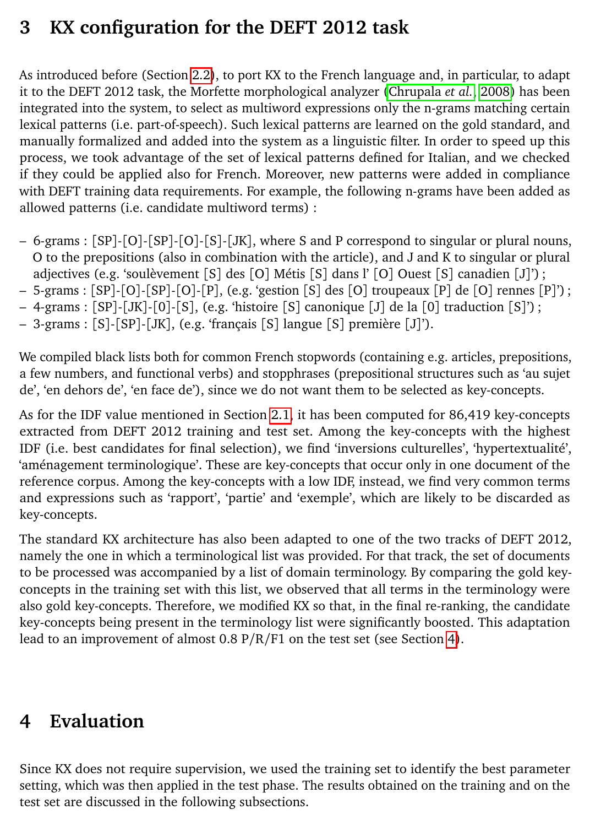## <span id="page-6-0"></span>**3 KX configuration for the DEFT 2012 task**

As introduced before (Section [2.2\)](#page-2-0), to port KX to the French language and, in particular, to adapt it to the DEFT 2012 task, the Morfette morphological analyzer [\(Chrupala](#page-9-5) *et al.*, [2008\)](#page-9-5) has been integrated into the system, to select as multiword expressions only the n-grams matching certain lexical patterns (i.e. part-of-speech). Such lexical patterns are learned on the gold standard, and manually formalized and added into the system as a linguistic filter. In order to speed up this process, we took advantage of the set of lexical patterns defined for Italian, and we checked if they could be applied also for French. Moreover, new patterns were added in compliance with DEFT training data requirements. For example, the following n-grams have been added as allowed patterns (i.e. candidate multiword terms) :

- 6-grams : [SP]-[O]-[SP]-[O]-[S]-[JK], where S and P correspond to singular or plural nouns, O to the prepositions (also in combination with the article), and J and K to singular or plural adjectives (e.g. 'soulèvement [S] des [O] Métis [S] dans l' [O] Ouest [S] canadien [J]') ;
- 5-grams : [SP]-[O]-[SP]-[O]-[P], (e.g. 'gestion [S] des [O] troupeaux [P] de [O] rennes [P]') ;
- $-$  4-grams :  $[SP]-[JK]-[O]-[S]$ , (e.g. 'histoire  $[S]$  canonique  $[J]$  de la  $[0]$  traduction  $[S]$ ') ;
- 3-grams : [S]-[SP]-[JK], (e.g. 'français [S] langue [S] première [J]').

We compiled black lists both for common French stopwords (containing e.g. articles, prepositions, a few numbers, and functional verbs) and stopphrases (prepositional structures such as 'au sujet de', 'en dehors de', 'en face de'), since we do not want them to be selected as key-concepts.

As for the IDF value mentioned in Section [2.1,](#page-1-2) it has been computed for 86,419 key-concepts extracted from DEFT 2012 training and test set. Among the key-concepts with the highest IDF (i.e. best candidates for final selection), we find 'inversions culturelles', 'hypertextualité', 'aménagement terminologique'. These are key-concepts that occur only in one document of the reference corpus. Among the key-concepts with a low IDF, instead, we find very common terms and expressions such as 'rapport', 'partie' and 'exemple', which are likely to be discarded as key-concepts.

The standard KX architecture has also been adapted to one of the two tracks of DEFT 2012, namely the one in which a terminological list was provided. For that track, the set of documents to be processed was accompanied by a list of domain terminology. By comparing the gold keyconcepts in the training set with this list, we observed that all terms in the terminology were also gold key-concepts. Therefore, we modified KX so that, in the final re-ranking, the candidate key-concepts being present in the terminology list were significantly boosted. This adaptation lead to an improvement of almost  $0.8 \frac{P}{R}}$  on the test set (see Section [4\)](#page-6-1).

## <span id="page-6-1"></span>**4 Evaluation**

Since KX does not require supervision, we used the training set to identify the best parameter setting, which was then applied in the test phase. The results obtained on the training and on the test set are discussed in the following subsections.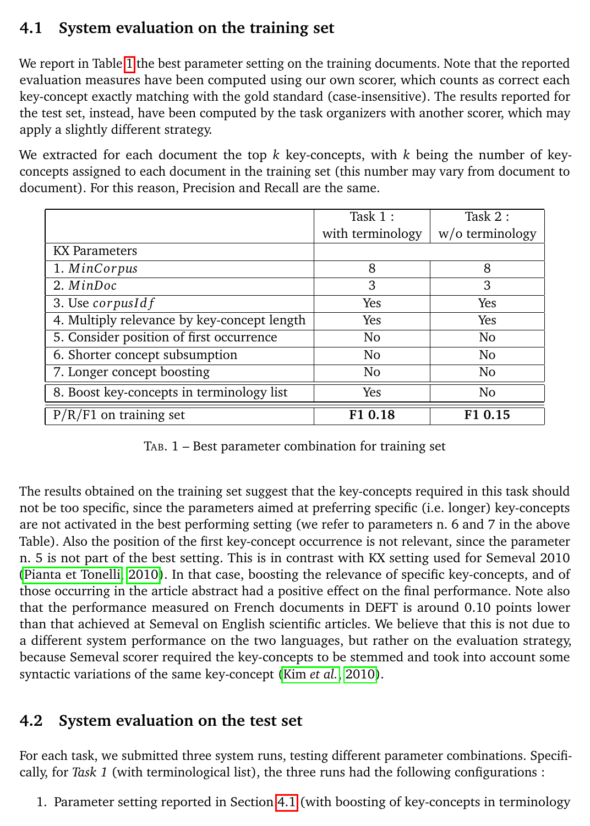#### <span id="page-7-1"></span>**4.1 System evaluation on the training set**

We report in Table [1](#page-7-0) the best parameter setting on the training documents. Note that the reported evaluation measures have been computed using our own scorer, which counts as correct each key-concept exactly matching with the gold standard (case-insensitive). The results reported for the test set, instead, have been computed by the task organizers with another scorer, which may apply a slightly different strategy.

We extracted for each document the top  $k$  key-concepts, with  $k$  being the number of keyconcepts assigned to each document in the training set (this number may vary from document to document). For this reason, Precision and Recall are the same.

|                                             | Task $1:$        | Task $2:$          |
|---------------------------------------------|------------------|--------------------|
|                                             | with terminology | $w$ /o terminology |
| <b>KX</b> Parameters                        |                  |                    |
| 1. MinCorpus                                | 8                | 8                  |
| 2. MinDoc                                   | 3                | 3                  |
| 3. Use corpusId $f$                         | Yes              | Yes                |
| 4. Multiply relevance by key-concept length | <b>Yes</b>       | Yes                |
| 5. Consider position of first occurrence    | No               | No.                |
| 6. Shorter concept subsumption              | No               | N <sub>0</sub>     |
| 7. Longer concept boosting                  | No               | N <sub>0</sub>     |
| 8. Boost key-concepts in terminology list   | Yes              | N <sub>0</sub>     |
| on training set<br>P/R                      | F10.18           | 0.15               |

<span id="page-7-0"></span>TAB. 1 – Best parameter combination for training set

The results obtained on the training set suggest that the key-concepts required in this task should not be too specific, since the parameters aimed at preferring specific (i.e. longer) key-concepts are not activated in the best performing setting (we refer to parameters n. 6 and 7 in the above Table). Also the position of the first key-concept occurrence is not relevant, since the parameter n. 5 is not part of the best setting. This is in contrast with KX setting used for Semeval 2010 [\(Pianta et Tonelli, 2010\)](#page-9-3). In that case, boosting the relevance of specific key-concepts, and of those occurring in the article abstract had a positive effect on the final performance. Note also that the performance measured on French documents in DEFT is around 0.10 points lower than that achieved at Semeval on English scientific articles. We believe that this is not due to a different system performance on the two languages, but rather on the evaluation strategy, because Semeval scorer required the key-concepts to be stemmed and took into account some syntactic variations of the same key-concept (Kim *[et al.](#page-9-2)*, [2010\)](#page-9-2).

#### **4.2 System evaluation on the test set**

For each task, we submitted three system runs, testing different parameter combinations. Specifically, for *Task 1* (with terminological list), the three runs had the following configurations :

1. Parameter setting reported in Section [4.1](#page-7-1) (with boosting of key-concepts in terminology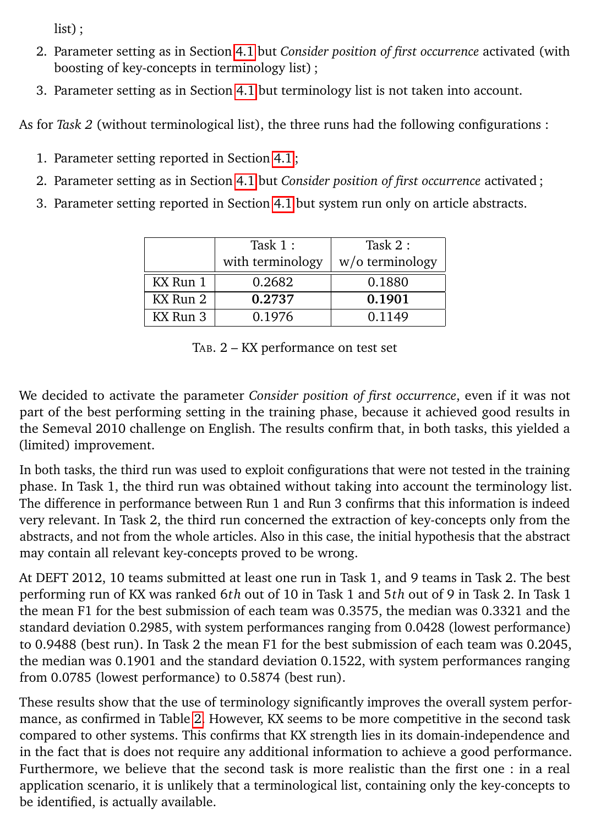list) ;

- 2. Parameter setting as in Section [4.1](#page-7-1) but *Consider position of first occurrence* activated (with boosting of key-concepts in terminology list) ;
- 3. Parameter setting as in Section [4.1](#page-7-1) but terminology list is not taken into account.

As for *Task 2* (without terminological list), the three runs had the following configurations :

- 1. Parameter setting reported in Section [4.1](#page-7-1) ;
- 2. Parameter setting as in Section [4.1](#page-7-1) but *Consider position of first occurrence* activated ;
- 3. Parameter setting reported in Section [4.1](#page-7-1) but system run only on article abstracts.

|          | Task $1:$        | Task $2:$       |
|----------|------------------|-----------------|
|          | with terminology | w/o terminology |
| KX Run 1 | 0.2682           | 0.1880          |
| KX Run 2 | 0.2737           | 0.1901          |
| KX Run 3 | 0.1976           | 0.1149          |

<span id="page-8-0"></span>TAB. 2 – KX performance on test set

We decided to activate the parameter *Consider position of first occurrence*, even if it was not part of the best performing setting in the training phase, because it achieved good results in the Semeval 2010 challenge on English. The results confirm that, in both tasks, this yielded a (limited) improvement.

In both tasks, the third run was used to exploit configurations that were not tested in the training phase. In Task 1, the third run was obtained without taking into account the terminology list. The difference in performance between Run 1 and Run 3 confirms that this information is indeed very relevant. In Task 2, the third run concerned the extraction of key-concepts only from the abstracts, and not from the whole articles. Also in this case, the initial hypothesis that the abstract may contain all relevant key-concepts proved to be wrong.

At DEFT 2012, 10 teams submitted at least one run in Task 1, and 9 teams in Task 2. The best performing run of KX was ranked 6*th* out of 10 in Task 1 and 5*th* out of 9 in Task 2. In Task 1 the mean F1 for the best submission of each team was 0.3575, the median was 0.3321 and the standard deviation 0.2985, with system performances ranging from 0.0428 (lowest performance) to 0.9488 (best run). In Task 2 the mean F1 for the best submission of each team was 0.2045, the median was 0.1901 and the standard deviation 0.1522, with system performances ranging from 0.0785 (lowest performance) to 0.5874 (best run).

These results show that the use of terminology significantly improves the overall system performance, as confirmed in Table [2.](#page-8-0) However, KX seems to be more competitive in the second task compared to other systems. This confirms that KX strength lies in its domain-independence and in the fact that is does not require any additional information to achieve a good performance. Furthermore, we believe that the second task is more realistic than the first one : in a real application scenario, it is unlikely that a terminological list, containing only the key-concepts to be identified, is actually available.